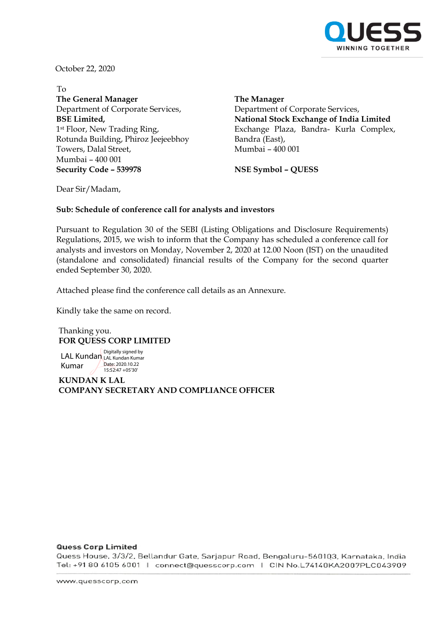

October 22, 2020

To **The General Manager** Department of Corporate Services, **BSE Limited,** 1st Floor, New Trading Ring, Rotunda Building, Phiroz Jeejeebhoy Towers, Dalal Street, Mumbai – 400 001 **Security Code – 539978 NSE Symbol – QUESS**

**The Manager** Department of Corporate Services, **National Stock Exchange of India Limited** Exchange Plaza, Bandra- Kurla Complex, Bandra (East), Mumbai – 400 001

Dear Sir/Madam,

### **Sub: Schedule of conference call for analysts and investors**

Pursuant to Regulation 30 of the SEBI (Listing Obligations and Disclosure Requirements) Regulations, 2015, we wish to inform that the Company has scheduled a conference call for analysts and investors on Monday, November 2, 2020 at 12.00 Noon (IST) on the unaudited (standalone and consolidated) financial results of the Company for the second quarter ended September 30, 2020.

Attached please find the conference call details as an Annexure.

Kindly take the same on record.

Thanking you. **FOR QUESS CORP LIMITED** 

LAL Kundan Digitally signed by Kumar LAL Kundan Kumar Date: 2020.10.22  $15.52.47 + 05'30'$ 

**KUNDAN K LAL COMPANY SECRETARY AND COMPLIANCE OFFICER** 

#### **Quess Corp Limited**

Quess House, 3/3/2, Bellandur Gate, Sarjapur Road, Bengaluru-560103, Karnataka, India Tel: +91 80 6105 6001 | connect@quesscorp.com | CIN No.L74140KA2007PLC043909